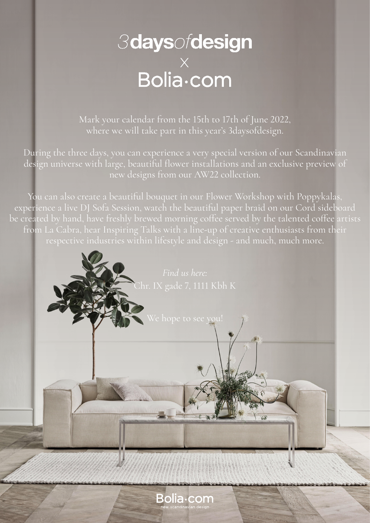# *3daysofdesign*  $\overline{\phantom{a}}^{\mathsf{X}}_{\mathsf{Bolia}\text{-}\mathsf{com}}$

Mark your calendar from the 15th to 17th of June 2022, where we will take part in this year's 3daysofdesign.

During the three days, you can experience a very special version of our Scandinavian design universe with large, beautiful flower installations and an exclusive preview of new designs from our AW22 collection.

You can also create a beautiful bouquet in our Flower Workshop with Poppykalas, experience a live DJ Sofa Session, watch the beautiful paper braid on our Cord sideboard be created by hand, have freshly brewed morning coffee served by the talented coffee artists from La Cabra, hear Inspiring Talks with a line-up of creative enthusiasts from their respective industries within lifestyle and design - and much, much more.

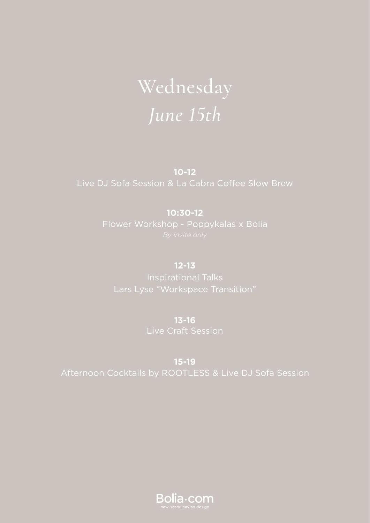# Wednesday *June 15th*

**10-12** 

### **10:30-12**

**12-13** Inspirational Talks

> **13-16** Live Craft Session

**15-19**

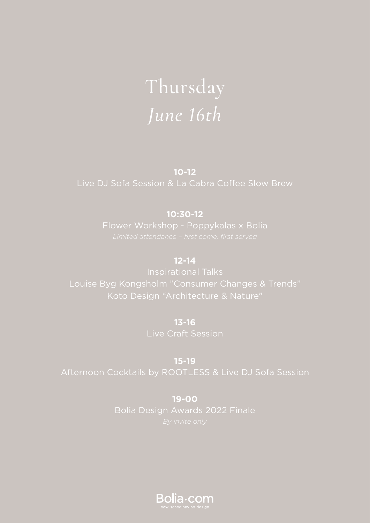# Thursday *June 16th*

**10-12**  Live DJ Sofa Session & La Cabra Coffee Slow Brew

## **10:30-12**

### **12-14**

Louise Byg Kongsholm "Consumer Changes & Trends" Koto Design "Architecture & Nature"

> **13-16** Live Craft Session

**15-19**

**19-00** Bolia Design Awards 2022 Finale